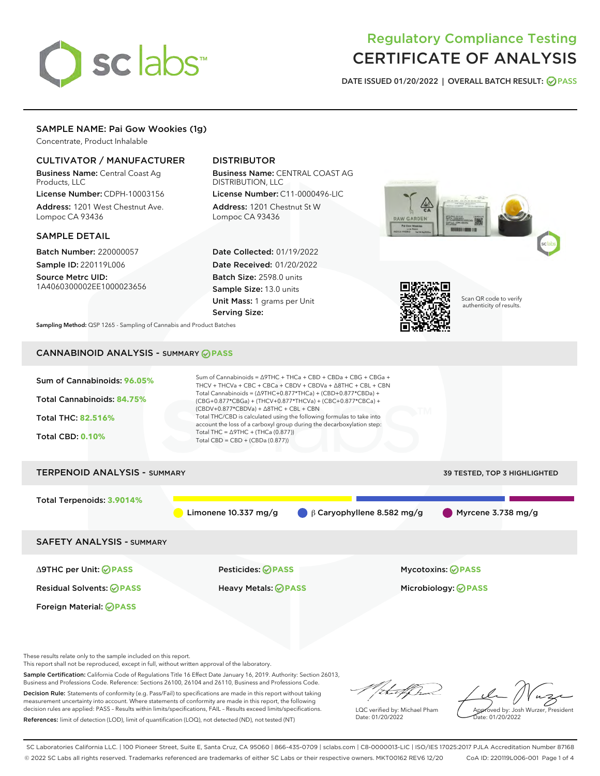# sclabs<sup>\*</sup>

# Regulatory Compliance Testing CERTIFICATE OF ANALYSIS

DATE ISSUED 01/20/2022 | OVERALL BATCH RESULT: @ PASS

# SAMPLE NAME: Pai Gow Wookies (1g)

Concentrate, Product Inhalable

# CULTIVATOR / MANUFACTURER

Business Name: Central Coast Ag Products, LLC License Number: CDPH-10003156

Address: 1201 West Chestnut Ave. Lompoc CA 93436

#### SAMPLE DETAIL

Batch Number: 220000057 Sample ID: 220119L006

Source Metrc UID: 1A4060300002EE1000023656

# DISTRIBUTOR

Business Name: CENTRAL COAST AG DISTRIBUTION, LLC

License Number: C11-0000496-LIC Address: 1201 Chestnut St W Lompoc CA 93436

Date Collected: 01/19/2022 Date Received: 01/20/2022 Batch Size: 2598.0 units Sample Size: 13.0 units Unit Mass: 1 grams per Unit Serving Size:





Scan QR code to verify authenticity of results.

Sampling Method: QSP 1265 - Sampling of Cannabis and Product Batches

# CANNABINOID ANALYSIS - SUMMARY **PASS**

| Sum of Cannabinoids: 96.05%<br>Total Cannabinoids: 84.75%<br><b>Total THC: 82.516%</b><br><b>Total CBD: 0.10%</b> | Sum of Cannabinoids = $\triangle$ 9THC + THCa + CBD + CBDa + CBG + CBGa +<br>THCV + THCVa + CBC + CBCa + CBDV + CBDVa + $\triangle$ 8THC + CBL + CBN<br>Total Cannabinoids = $(\Delta$ 9THC+0.877*THCa) + (CBD+0.877*CBDa) +<br>(CBG+0.877*CBGa) + (THCV+0.877*THCVa) + (CBC+0.877*CBCa) +<br>$(CBDV+0.877*CBDVa) + \Delta 8THC + CBL + CBN$<br>Total THC/CBD is calculated using the following formulas to take into<br>account the loss of a carboxyl group during the decarboxylation step:<br>Total THC = $\triangle$ 9THC + (THCa (0.877))<br>Total CBD = $CBD + (CBDa (0.877))$ |                                  |                              |  |  |  |
|-------------------------------------------------------------------------------------------------------------------|---------------------------------------------------------------------------------------------------------------------------------------------------------------------------------------------------------------------------------------------------------------------------------------------------------------------------------------------------------------------------------------------------------------------------------------------------------------------------------------------------------------------------------------------------------------------------------------|----------------------------------|------------------------------|--|--|--|
| <b>TERPENOID ANALYSIS - SUMMARY</b>                                                                               |                                                                                                                                                                                                                                                                                                                                                                                                                                                                                                                                                                                       |                                  | 39 TESTED, TOP 3 HIGHLIGHTED |  |  |  |
| Total Terpenoids: 3.9014%                                                                                         | Limonene $10.337$ mg/g                                                                                                                                                                                                                                                                                                                                                                                                                                                                                                                                                                | $\beta$ Caryophyllene 8.582 mg/g | Myrcene $3.738$ mg/g         |  |  |  |
| <b>SAFETY ANALYSIS - SUMMARY</b>                                                                                  |                                                                                                                                                                                                                                                                                                                                                                                                                                                                                                                                                                                       |                                  |                              |  |  |  |
| $\triangle$ 9THC per Unit: $\oslash$ PASS                                                                         | Pesticides: ⊘PASS                                                                                                                                                                                                                                                                                                                                                                                                                                                                                                                                                                     |                                  | Mycotoxins: ⊘PASS            |  |  |  |
| <b>Residual Solvents: ⊘PASS</b>                                                                                   | <b>Heavy Metals: ⊘ PASS</b>                                                                                                                                                                                                                                                                                                                                                                                                                                                                                                                                                           |                                  | Microbiology: <b>⊘PASS</b>   |  |  |  |

Foreign Material: **PASS**

These results relate only to the sample included on this report.

This report shall not be reproduced, except in full, without written approval of the laboratory.

Sample Certification: California Code of Regulations Title 16 Effect Date January 16, 2019. Authority: Section 26013, Business and Professions Code. Reference: Sections 26100, 26104 and 26110, Business and Professions Code.

Decision Rule: Statements of conformity (e.g. Pass/Fail) to specifications are made in this report without taking measurement uncertainty into account. Where statements of conformity are made in this report, the following decision rules are applied: PASS – Results within limits/specifications, FAIL – Results exceed limits/specifications. References: limit of detection (LOD), limit of quantification (LOQ), not detected (ND), not tested (NT)

that f h

LQC verified by: Michael Pham Date: 01/20/2022

Approved by: Josh Wurzer, President ate: 01/20/2022

SC Laboratories California LLC. | 100 Pioneer Street, Suite E, Santa Cruz, CA 95060 | 866-435-0709 | sclabs.com | C8-0000013-LIC | ISO/IES 17025:2017 PJLA Accreditation Number 87168 © 2022 SC Labs all rights reserved. Trademarks referenced are trademarks of either SC Labs or their respective owners. MKT00162 REV6 12/20 CoA ID: 220119L006-001 Page 1 of 4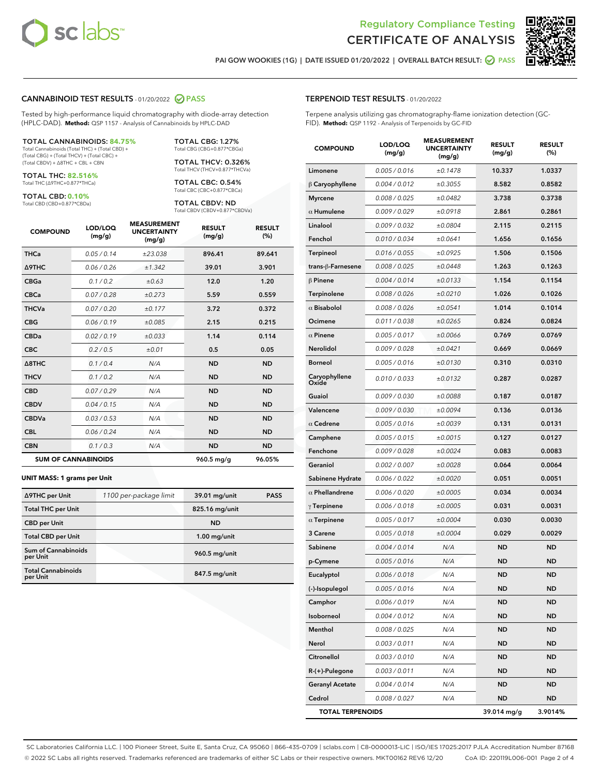



PAI GOW WOOKIES (1G) | DATE ISSUED 01/20/2022 | OVERALL BATCH RESULT: @ PASS

#### CANNABINOID TEST RESULTS - 01/20/2022 2 PASS

Tested by high-performance liquid chromatography with diode-array detection (HPLC-DAD). **Method:** QSP 1157 - Analysis of Cannabinoids by HPLC-DAD

#### TOTAL CANNABINOIDS: **84.75%**

Total Cannabinoids (Total THC) + (Total CBD) + (Total CBG) + (Total THCV) + (Total CBC) + (Total CBDV) + ∆8THC + CBL + CBN

TOTAL THC: **82.516%** Total THC (∆9THC+0.877\*THCa)

TOTAL CBD: **0.10%**

Total CBD (CBD+0.877\*CBDa)

TOTAL CBG: 1.27% Total CBG (CBG+0.877\*CBGa)

TOTAL THCV: 0.326% Total THCV (THCV+0.877\*THCVa)

TOTAL CBC: 0.54% Total CBC (CBC+0.877\*CBCa)

TOTAL CBDV: ND Total CBDV (CBDV+0.877\*CBDVa)

| <b>COMPOUND</b>            | LOD/LOQ<br>(mg/g) | <b>MEASUREMENT</b><br><b>UNCERTAINTY</b><br>(mg/g) | <b>RESULT</b><br>(mg/g) | <b>RESULT</b><br>(%) |
|----------------------------|-------------------|----------------------------------------------------|-------------------------|----------------------|
| <b>THCa</b>                | 0.05/0.14         | ±23.038                                            | 896.41                  | 89.641               |
| <b>A9THC</b>               | 0.06 / 0.26       | ±1.342                                             | 39.01                   | 3.901                |
| <b>CBGa</b>                | 0.1/0.2           | ±0.63                                              | 12.0                    | 1.20                 |
| <b>CBCa</b>                | 0.07 / 0.28       | ±0.273                                             | 5.59                    | 0.559                |
| <b>THCVa</b>               | 0.07/0.20         | ±0.177                                             | 3.72                    | 0.372                |
| <b>CBG</b>                 | 0.06/0.19         | ±0.085                                             | 2.15                    | 0.215                |
| <b>CBDa</b>                | 0.02/0.19         | ±0.033                                             | 1.14                    | 0.114                |
| <b>CBC</b>                 | 0.2 / 0.5         | ±0.01                                              | 0.5                     | 0.05                 |
| A8THC                      | 0.1/0.4           | N/A                                                | <b>ND</b>               | <b>ND</b>            |
| <b>THCV</b>                | 0.1 / 0.2         | N/A                                                | <b>ND</b>               | <b>ND</b>            |
| <b>CBD</b>                 | 0.07/0.29         | N/A                                                | <b>ND</b>               | <b>ND</b>            |
| <b>CBDV</b>                | 0.04 / 0.15       | N/A                                                | <b>ND</b>               | <b>ND</b>            |
| <b>CBDVa</b>               | 0.03 / 0.53       | N/A                                                | <b>ND</b>               | <b>ND</b>            |
| <b>CBL</b>                 | 0.06 / 0.24       | N/A                                                | <b>ND</b>               | <b>ND</b>            |
| <b>CBN</b>                 | 0.1/0.3           | N/A                                                | <b>ND</b>               | <b>ND</b>            |
| <b>SUM OF CANNABINOIDS</b> |                   |                                                    | 960.5 mg/g              | 96.05%               |

#### **UNIT MASS: 1 grams per Unit**

| ∆9THC per Unit                        | 1100 per-package limit | 39.01 mg/unit  | <b>PASS</b> |
|---------------------------------------|------------------------|----------------|-------------|
| <b>Total THC per Unit</b>             |                        | 825.16 mg/unit |             |
| <b>CBD</b> per Unit                   |                        | <b>ND</b>      |             |
| <b>Total CBD per Unit</b>             |                        | $1.00$ mg/unit |             |
| Sum of Cannabinoids<br>per Unit       |                        | 960.5 mg/unit  |             |
| <b>Total Cannabinoids</b><br>per Unit |                        | 847.5 mg/unit  |             |

#### TERPENOID TEST RESULTS - 01/20/2022

Terpene analysis utilizing gas chromatography-flame ionization detection (GC-FID). **Method:** QSP 1192 - Analysis of Terpenoids by GC-FID

| <b>COMPOUND</b>         | LOD/LOQ<br>(mg/g) | <b>MEASUREMENT</b><br><b>UNCERTAINTY</b><br>(mg/g) | <b>RESULT</b><br>(mg/g) | <b>RESULT</b><br>(%) |
|-------------------------|-------------------|----------------------------------------------------|-------------------------|----------------------|
| Limonene                | 0.005 / 0.016     | ±0.1478                                            | 10.337                  | 1.0337               |
| $\beta$ Caryophyllene   | 0.004 / 0.012     | ±0.3055                                            | 8.582                   | 0.8582               |
| <b>Myrcene</b>          | 0.008 / 0.025     | ±0.0482                                            | 3.738                   | 0.3738               |
| $\alpha$ Humulene       | 0.009/0.029       | ±0.0918                                            | 2.861                   | 0.2861               |
| Linalool                | 0.009 / 0.032     | ±0.0804                                            | 2.115                   | 0.2115               |
| Fenchol                 | 0.010 / 0.034     | ±0.0641                                            | 1.656                   | 0.1656               |
| Terpineol               | 0.016 / 0.055     | ±0.0925                                            | 1.506                   | 0.1506               |
| trans-ß-Farnesene       | 0.008 / 0.025     | ±0.0448                                            | 1.263                   | 0.1263               |
| $\beta$ Pinene          | 0.004 / 0.014     | ±0.0133                                            | 1.154                   | 0.1154               |
| Terpinolene             | 0.008 / 0.026     | ±0.0210                                            | 1.026                   | 0.1026               |
| $\alpha$ Bisabolol      | 0.008 / 0.026     | ±0.0541                                            | 1.014                   | 0.1014               |
| Ocimene                 | 0.011 / 0.038     | ±0.0265                                            | 0.824                   | 0.0824               |
| $\alpha$ Pinene         | 0.005 / 0.017     | ±0.0066                                            | 0.769                   | 0.0769               |
| Nerolidol               | 0.009 / 0.028     | ±0.0421                                            | 0.669                   | 0.0669               |
| <b>Borneol</b>          | 0.005 / 0.016     | ±0.0130                                            | 0.310                   | 0.0310               |
| Caryophyllene<br>Oxide  | 0.010 / 0.033     | ±0.0132                                            | 0.287                   | 0.0287               |
| Guaiol                  | 0.009 / 0.030     | ±0.0088                                            | 0.187                   | 0.0187               |
| Valencene               | 0.009 / 0.030     | ±0.0094                                            | 0.136                   | 0.0136               |
| $\alpha$ Cedrene        | 0.005 / 0.016     | ±0.0039                                            | 0.131                   | 0.0131               |
| Camphene                | 0.005 / 0.015     | ±0.0015                                            | 0.127                   | 0.0127               |
| Fenchone                | 0.009 / 0.028     | ±0.0024                                            | 0.083                   | 0.0083               |
| Geraniol                | 0.002 / 0.007     | ±0.0028                                            | 0.064                   | 0.0064               |
| Sabinene Hydrate        | 0.006 / 0.022     | ±0.0020                                            | 0.051                   | 0.0051               |
| $\alpha$ Phellandrene   | 0.006 / 0.020     | ±0.0005                                            | 0.034                   | 0.0034               |
| $\gamma$ Terpinene      | 0.006 / 0.018     | ±0.0005                                            | 0.031                   | 0.0031               |
| $\alpha$ Terpinene      | 0.005 / 0.017     | ±0.0004                                            | 0.030                   | 0.0030               |
| 3 Carene                | 0.005 / 0.018     | ±0.0004                                            | 0.029                   | 0.0029               |
| Sabinene                | 0.004 / 0.014     | N/A                                                | ND                      | <b>ND</b>            |
| p-Cymene                | 0.005 / 0.016     | N/A                                                | <b>ND</b>               | <b>ND</b>            |
| Eucalyptol              | 0.006 / 0.018     | N/A                                                | <b>ND</b>               | <b>ND</b>            |
| (-)-Isopulegol          | 0.005 / 0.016     | N/A                                                | ND                      | ND                   |
| Camphor                 | 0.006 / 0.019     | N/A                                                | <b>ND</b>               | <b>ND</b>            |
| Isoborneol              | 0.004 / 0.012     | N/A                                                | <b>ND</b>               | <b>ND</b>            |
| Menthol                 | 0.008 / 0.025     | N/A                                                | ND                      | ND                   |
| Nerol                   | 0.003 / 0.011     | N/A                                                | ND                      | <b>ND</b>            |
| Citronellol             | 0.003 / 0.010     | N/A                                                | <b>ND</b>               | <b>ND</b>            |
| $R-(+)$ -Pulegone       | 0.003 / 0.011     | N/A                                                | ND                      | ND                   |
| <b>Geranyl Acetate</b>  | 0.004 / 0.014     | N/A                                                | <b>ND</b>               | <b>ND</b>            |
| Cedrol                  | 0.008 / 0.027     | N/A                                                | <b>ND</b>               | ND                   |
| <b>TOTAL TERPENOIDS</b> |                   |                                                    | 39.014 mg/g             | 3.9014%              |

SC Laboratories California LLC. | 100 Pioneer Street, Suite E, Santa Cruz, CA 95060 | 866-435-0709 | sclabs.com | C8-0000013-LIC | ISO/IES 17025:2017 PJLA Accreditation Number 87168 © 2022 SC Labs all rights reserved. Trademarks referenced are trademarks of either SC Labs or their respective owners. MKT00162 REV6 12/20 CoA ID: 220119L006-001 Page 2 of 4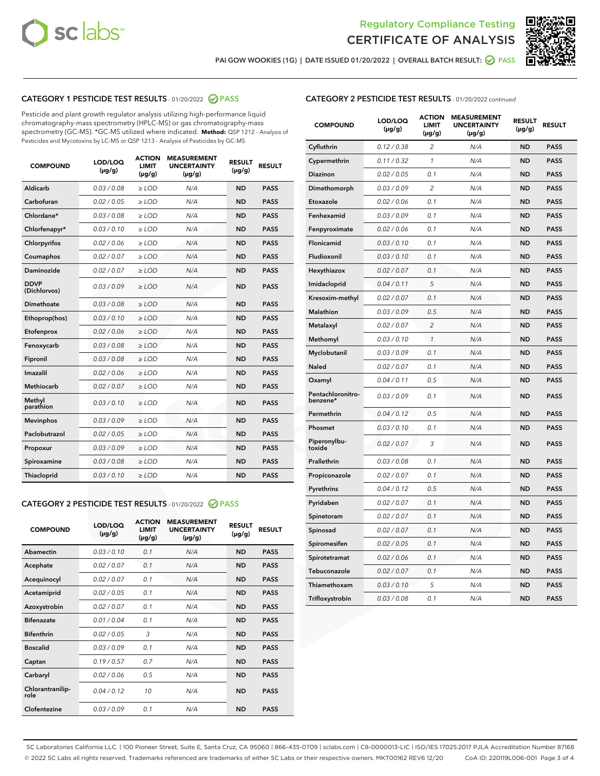



PAI GOW WOOKIES (1G) | DATE ISSUED 01/20/2022 | OVERALL BATCH RESULT: @ PASS

# CATEGORY 1 PESTICIDE TEST RESULTS - 01/20/2022 2 PASS

Pesticide and plant growth regulator analysis utilizing high-performance liquid chromatography-mass spectrometry (HPLC-MS) or gas chromatography-mass spectrometry (GC-MS). \*GC-MS utilized where indicated. **Method:** QSP 1212 - Analysis of Pesticides and Mycotoxins by LC-MS or QSP 1213 - Analysis of Pesticides by GC-MS

| <b>Aldicarb</b><br>0.03 / 0.08<br><b>ND</b><br>$\ge$ LOD<br>N/A<br><b>PASS</b><br>Carbofuran<br>0.02/0.05<br>$\ge$ LOD<br>N/A<br><b>ND</b><br><b>PASS</b><br>Chlordane*<br>0.03 / 0.08<br><b>ND</b><br>$>$ LOD<br>N/A<br><b>PASS</b><br>0.03/0.10<br><b>ND</b><br><b>PASS</b><br>Chlorfenapyr*<br>$\ge$ LOD<br>N/A<br>0.02 / 0.06<br>N/A<br><b>ND</b><br><b>PASS</b><br>Chlorpyrifos<br>$\ge$ LOD<br>0.02 / 0.07<br>N/A<br><b>ND</b><br><b>PASS</b><br>Coumaphos<br>$>$ LOD<br>Daminozide<br>0.02 / 0.07<br>$\ge$ LOD<br>N/A<br><b>ND</b><br><b>PASS</b><br><b>DDVP</b><br>0.03/0.09<br>$\ge$ LOD<br>N/A<br><b>ND</b><br><b>PASS</b><br>(Dichlorvos)<br>Dimethoate<br><b>ND</b><br><b>PASS</b><br>0.03 / 0.08<br>$>$ LOD<br>N/A<br>0.03/0.10<br>Ethoprop(hos)<br>$\ge$ LOD<br>N/A<br><b>ND</b><br><b>PASS</b><br>0.02 / 0.06<br>$\ge$ LOD<br>N/A<br><b>ND</b><br><b>PASS</b><br>Etofenprox<br>Fenoxycarb<br>0.03 / 0.08<br>$>$ LOD<br>N/A<br><b>ND</b><br><b>PASS</b><br>0.03 / 0.08<br><b>ND</b><br><b>PASS</b><br>Fipronil<br>$\ge$ LOD<br>N/A<br>Imazalil<br>0.02 / 0.06<br>$>$ LOD<br>N/A<br><b>ND</b><br><b>PASS</b><br>0.02 / 0.07<br>Methiocarb<br>N/A<br><b>ND</b><br>$>$ LOD<br><b>PASS</b><br>Methyl<br>0.03/0.10<br>$\ge$ LOD<br>N/A<br><b>ND</b><br><b>PASS</b><br>parathion<br>0.03/0.09<br>$\ge$ LOD<br>N/A<br><b>ND</b><br><b>PASS</b><br><b>Mevinphos</b><br>Paclobutrazol<br>0.02 / 0.05<br>$\ge$ LOD<br>N/A<br><b>ND</b><br><b>PASS</b><br>0.03/0.09<br>N/A<br>$\ge$ LOD<br><b>ND</b><br><b>PASS</b><br>Propoxur<br>0.03 / 0.08<br><b>ND</b><br><b>PASS</b><br>Spiroxamine<br>$\ge$ LOD<br>N/A<br><b>PASS</b><br>Thiacloprid<br>0.03/0.10<br>$\ge$ LOD<br>N/A<br><b>ND</b> | <b>COMPOUND</b> | LOD/LOQ<br>$(\mu g/g)$ | <b>ACTION</b><br>LIMIT<br>$(\mu g/g)$ | <b>MEASUREMENT</b><br><b>UNCERTAINTY</b><br>$(\mu g/g)$ | <b>RESULT</b><br>$(\mu g/g)$ | <b>RESULT</b> |
|----------------------------------------------------------------------------------------------------------------------------------------------------------------------------------------------------------------------------------------------------------------------------------------------------------------------------------------------------------------------------------------------------------------------------------------------------------------------------------------------------------------------------------------------------------------------------------------------------------------------------------------------------------------------------------------------------------------------------------------------------------------------------------------------------------------------------------------------------------------------------------------------------------------------------------------------------------------------------------------------------------------------------------------------------------------------------------------------------------------------------------------------------------------------------------------------------------------------------------------------------------------------------------------------------------------------------------------------------------------------------------------------------------------------------------------------------------------------------------------------------------------------------------------------------------------------------------------------------------------------------------------------------------------------------------------------|-----------------|------------------------|---------------------------------------|---------------------------------------------------------|------------------------------|---------------|
|                                                                                                                                                                                                                                                                                                                                                                                                                                                                                                                                                                                                                                                                                                                                                                                                                                                                                                                                                                                                                                                                                                                                                                                                                                                                                                                                                                                                                                                                                                                                                                                                                                                                                              |                 |                        |                                       |                                                         |                              |               |
|                                                                                                                                                                                                                                                                                                                                                                                                                                                                                                                                                                                                                                                                                                                                                                                                                                                                                                                                                                                                                                                                                                                                                                                                                                                                                                                                                                                                                                                                                                                                                                                                                                                                                              |                 |                        |                                       |                                                         |                              |               |
|                                                                                                                                                                                                                                                                                                                                                                                                                                                                                                                                                                                                                                                                                                                                                                                                                                                                                                                                                                                                                                                                                                                                                                                                                                                                                                                                                                                                                                                                                                                                                                                                                                                                                              |                 |                        |                                       |                                                         |                              |               |
|                                                                                                                                                                                                                                                                                                                                                                                                                                                                                                                                                                                                                                                                                                                                                                                                                                                                                                                                                                                                                                                                                                                                                                                                                                                                                                                                                                                                                                                                                                                                                                                                                                                                                              |                 |                        |                                       |                                                         |                              |               |
|                                                                                                                                                                                                                                                                                                                                                                                                                                                                                                                                                                                                                                                                                                                                                                                                                                                                                                                                                                                                                                                                                                                                                                                                                                                                                                                                                                                                                                                                                                                                                                                                                                                                                              |                 |                        |                                       |                                                         |                              |               |
|                                                                                                                                                                                                                                                                                                                                                                                                                                                                                                                                                                                                                                                                                                                                                                                                                                                                                                                                                                                                                                                                                                                                                                                                                                                                                                                                                                                                                                                                                                                                                                                                                                                                                              |                 |                        |                                       |                                                         |                              |               |
|                                                                                                                                                                                                                                                                                                                                                                                                                                                                                                                                                                                                                                                                                                                                                                                                                                                                                                                                                                                                                                                                                                                                                                                                                                                                                                                                                                                                                                                                                                                                                                                                                                                                                              |                 |                        |                                       |                                                         |                              |               |
|                                                                                                                                                                                                                                                                                                                                                                                                                                                                                                                                                                                                                                                                                                                                                                                                                                                                                                                                                                                                                                                                                                                                                                                                                                                                                                                                                                                                                                                                                                                                                                                                                                                                                              |                 |                        |                                       |                                                         |                              |               |
|                                                                                                                                                                                                                                                                                                                                                                                                                                                                                                                                                                                                                                                                                                                                                                                                                                                                                                                                                                                                                                                                                                                                                                                                                                                                                                                                                                                                                                                                                                                                                                                                                                                                                              |                 |                        |                                       |                                                         |                              |               |
|                                                                                                                                                                                                                                                                                                                                                                                                                                                                                                                                                                                                                                                                                                                                                                                                                                                                                                                                                                                                                                                                                                                                                                                                                                                                                                                                                                                                                                                                                                                                                                                                                                                                                              |                 |                        |                                       |                                                         |                              |               |
|                                                                                                                                                                                                                                                                                                                                                                                                                                                                                                                                                                                                                                                                                                                                                                                                                                                                                                                                                                                                                                                                                                                                                                                                                                                                                                                                                                                                                                                                                                                                                                                                                                                                                              |                 |                        |                                       |                                                         |                              |               |
|                                                                                                                                                                                                                                                                                                                                                                                                                                                                                                                                                                                                                                                                                                                                                                                                                                                                                                                                                                                                                                                                                                                                                                                                                                                                                                                                                                                                                                                                                                                                                                                                                                                                                              |                 |                        |                                       |                                                         |                              |               |
|                                                                                                                                                                                                                                                                                                                                                                                                                                                                                                                                                                                                                                                                                                                                                                                                                                                                                                                                                                                                                                                                                                                                                                                                                                                                                                                                                                                                                                                                                                                                                                                                                                                                                              |                 |                        |                                       |                                                         |                              |               |
|                                                                                                                                                                                                                                                                                                                                                                                                                                                                                                                                                                                                                                                                                                                                                                                                                                                                                                                                                                                                                                                                                                                                                                                                                                                                                                                                                                                                                                                                                                                                                                                                                                                                                              |                 |                        |                                       |                                                         |                              |               |
|                                                                                                                                                                                                                                                                                                                                                                                                                                                                                                                                                                                                                                                                                                                                                                                                                                                                                                                                                                                                                                                                                                                                                                                                                                                                                                                                                                                                                                                                                                                                                                                                                                                                                              |                 |                        |                                       |                                                         |                              |               |
|                                                                                                                                                                                                                                                                                                                                                                                                                                                                                                                                                                                                                                                                                                                                                                                                                                                                                                                                                                                                                                                                                                                                                                                                                                                                                                                                                                                                                                                                                                                                                                                                                                                                                              |                 |                        |                                       |                                                         |                              |               |
|                                                                                                                                                                                                                                                                                                                                                                                                                                                                                                                                                                                                                                                                                                                                                                                                                                                                                                                                                                                                                                                                                                                                                                                                                                                                                                                                                                                                                                                                                                                                                                                                                                                                                              |                 |                        |                                       |                                                         |                              |               |
|                                                                                                                                                                                                                                                                                                                                                                                                                                                                                                                                                                                                                                                                                                                                                                                                                                                                                                                                                                                                                                                                                                                                                                                                                                                                                                                                                                                                                                                                                                                                                                                                                                                                                              |                 |                        |                                       |                                                         |                              |               |
|                                                                                                                                                                                                                                                                                                                                                                                                                                                                                                                                                                                                                                                                                                                                                                                                                                                                                                                                                                                                                                                                                                                                                                                                                                                                                                                                                                                                                                                                                                                                                                                                                                                                                              |                 |                        |                                       |                                                         |                              |               |
|                                                                                                                                                                                                                                                                                                                                                                                                                                                                                                                                                                                                                                                                                                                                                                                                                                                                                                                                                                                                                                                                                                                                                                                                                                                                                                                                                                                                                                                                                                                                                                                                                                                                                              |                 |                        |                                       |                                                         |                              |               |
|                                                                                                                                                                                                                                                                                                                                                                                                                                                                                                                                                                                                                                                                                                                                                                                                                                                                                                                                                                                                                                                                                                                                                                                                                                                                                                                                                                                                                                                                                                                                                                                                                                                                                              |                 |                        |                                       |                                                         |                              |               |

#### CATEGORY 2 PESTICIDE TEST RESULTS - 01/20/2022 2 PASS

| <b>COMPOUND</b>          | LOD/LOO<br>$(\mu g/g)$ | <b>ACTION</b><br>LIMIT<br>$(\mu g/g)$ | <b>MEASUREMENT</b><br><b>UNCERTAINTY</b><br>$(\mu g/g)$ | <b>RESULT</b><br>$(\mu g/g)$ | <b>RESULT</b> |  |
|--------------------------|------------------------|---------------------------------------|---------------------------------------------------------|------------------------------|---------------|--|
| Abamectin                | 0.03/0.10              | 0.1                                   | N/A                                                     | <b>ND</b>                    | <b>PASS</b>   |  |
| Acephate                 | 0.02/0.07              | 0.1                                   | N/A                                                     | <b>ND</b>                    | <b>PASS</b>   |  |
| Acequinocyl              | 0.02/0.07              | 0.1                                   | N/A                                                     | <b>ND</b>                    | <b>PASS</b>   |  |
| Acetamiprid              | 0.02 / 0.05            | 0.1                                   | N/A                                                     | <b>ND</b>                    | <b>PASS</b>   |  |
| Azoxystrobin             | 0.02/0.07              | 0.1                                   | N/A                                                     | <b>ND</b>                    | <b>PASS</b>   |  |
| <b>Bifenazate</b>        | 0.01 / 0.04            | 0.1                                   | N/A                                                     | <b>ND</b>                    | <b>PASS</b>   |  |
| <b>Bifenthrin</b>        | 0.02 / 0.05            | 3                                     | N/A                                                     | <b>ND</b>                    | <b>PASS</b>   |  |
| <b>Boscalid</b>          | 0.03/0.09              | 0.1                                   | N/A                                                     | <b>ND</b>                    | <b>PASS</b>   |  |
| Captan                   | 0.19/0.57              | 0.7                                   | N/A                                                     | <b>ND</b>                    | <b>PASS</b>   |  |
| Carbaryl                 | 0.02/0.06              | 0.5                                   | N/A                                                     | <b>ND</b>                    | <b>PASS</b>   |  |
| Chlorantranilip-<br>role | 0.04/0.12              | 10                                    | N/A                                                     | <b>ND</b>                    | <b>PASS</b>   |  |
| Clofentezine             | 0.03/0.09              | 0.1                                   | N/A                                                     | <b>ND</b>                    | <b>PASS</b>   |  |

| <b>COMPOUND</b>               | LOD/LOQ<br>$(\mu g/g)$ | <b>ACTION</b><br><b>LIMIT</b><br>(µg/g) | <b>MEASUREMENT</b><br><b>UNCERTAINTY</b><br>(µg/g) | <b>RESULT</b><br>$(\mu g/g)$ | <b>RESULT</b> |
|-------------------------------|------------------------|-----------------------------------------|----------------------------------------------------|------------------------------|---------------|
| Cyfluthrin                    | 0.12 / 0.38            | $\overline{c}$                          | N/A                                                | <b>ND</b>                    | <b>PASS</b>   |
| Cypermethrin                  | 0.11 / 0.32            | 1                                       | N/A                                                | <b>ND</b>                    | <b>PASS</b>   |
| Diazinon                      | 0.02 / 0.05            | 0.1                                     | N/A                                                | <b>ND</b>                    | <b>PASS</b>   |
| Dimethomorph                  | 0.03 / 0.09            | 2                                       | N/A                                                | <b>ND</b>                    | <b>PASS</b>   |
| Etoxazole                     | 0.02 / 0.06            | 0.1                                     | N/A                                                | <b>ND</b>                    | <b>PASS</b>   |
| Fenhexamid                    | 0.03 / 0.09            | 0.1                                     | N/A                                                | <b>ND</b>                    | <b>PASS</b>   |
| Fenpyroximate                 | 0.02 / 0.06            | 0.1                                     | N/A                                                | <b>ND</b>                    | <b>PASS</b>   |
| Flonicamid                    | 0.03 / 0.10            | 0.1                                     | N/A                                                | <b>ND</b>                    | <b>PASS</b>   |
| Fludioxonil                   | 0.03 / 0.10            | 0.1                                     | N/A                                                | <b>ND</b>                    | <b>PASS</b>   |
| Hexythiazox                   | 0.02 / 0.07            | 0.1                                     | N/A                                                | <b>ND</b>                    | <b>PASS</b>   |
| Imidacloprid                  | 0.04 / 0.11            | 5                                       | N/A                                                | <b>ND</b>                    | <b>PASS</b>   |
| Kresoxim-methyl               | 0.02 / 0.07            | 0.1                                     | N/A                                                | <b>ND</b>                    | <b>PASS</b>   |
| <b>Malathion</b>              | 0.03 / 0.09            | 0.5                                     | N/A                                                | <b>ND</b>                    | <b>PASS</b>   |
| Metalaxyl                     | 0.02 / 0.07            | $\overline{c}$                          | N/A                                                | <b>ND</b>                    | <b>PASS</b>   |
| Methomyl                      | 0.03 / 0.10            | $\mathcal{I}$                           | N/A                                                | <b>ND</b>                    | <b>PASS</b>   |
| Myclobutanil                  | 0.03/0.09              | 0.1                                     | N/A                                                | <b>ND</b>                    | <b>PASS</b>   |
| Naled                         | 0.02 / 0.07            | 0.1                                     | N/A                                                | <b>ND</b>                    | <b>PASS</b>   |
| Oxamyl                        | 0.04 / 0.11            | 0.5                                     | N/A                                                | <b>ND</b>                    | <b>PASS</b>   |
| Pentachloronitro-<br>benzene* | 0.03 / 0.09            | 0.1                                     | N/A                                                | <b>ND</b>                    | <b>PASS</b>   |
| Permethrin                    | 0.04 / 0.12            | 0.5                                     | N/A                                                | <b>ND</b>                    | <b>PASS</b>   |
| Phosmet                       | 0.03 / 0.10            | 0.1                                     | N/A                                                | <b>ND</b>                    | <b>PASS</b>   |
| Piperonylbu-<br>toxide        | 0.02 / 0.07            | 3                                       | N/A                                                | <b>ND</b>                    | <b>PASS</b>   |
| Prallethrin                   | 0.03 / 0.08            | 0.1                                     | N/A                                                | <b>ND</b>                    | <b>PASS</b>   |
| Propiconazole                 | 0.02 / 0.07            | 0.1                                     | N/A                                                | <b>ND</b>                    | <b>PASS</b>   |
| Pyrethrins                    | 0.04 / 0.12            | 0.5                                     | N/A                                                | <b>ND</b>                    | <b>PASS</b>   |
| Pyridaben                     | 0.02 / 0.07            | 0.1                                     | N/A                                                | <b>ND</b>                    | <b>PASS</b>   |
| Spinetoram                    | 0.02 / 0.07            | 0.1                                     | N/A                                                | <b>ND</b>                    | <b>PASS</b>   |
| Spinosad                      | 0.02 / 0.07            | 0.1                                     | N/A                                                | <b>ND</b>                    | <b>PASS</b>   |
| Spiromesifen                  | 0.02 / 0.05            | 0.1                                     | N/A                                                | <b>ND</b>                    | <b>PASS</b>   |
| Spirotetramat                 | 0.02 / 0.06            | 0.1                                     | N/A                                                | ND                           | <b>PASS</b>   |
| Tebuconazole                  | 0.02 / 0.07            | 0.1                                     | N/A                                                | <b>ND</b>                    | <b>PASS</b>   |
| Thiamethoxam                  | 0.03 / 0.10            | 5                                       | N/A                                                | <b>ND</b>                    | <b>PASS</b>   |
| Trifloxystrobin               | 0.03 / 0.08            | 0.1                                     | N/A                                                | ND                           | <b>PASS</b>   |

SC Laboratories California LLC. | 100 Pioneer Street, Suite E, Santa Cruz, CA 95060 | 866-435-0709 | sclabs.com | C8-0000013-LIC | ISO/IES 17025:2017 PJLA Accreditation Number 87168 © 2022 SC Labs all rights reserved. Trademarks referenced are trademarks of either SC Labs or their respective owners. MKT00162 REV6 12/20 CoA ID: 220119L006-001 Page 3 of 4